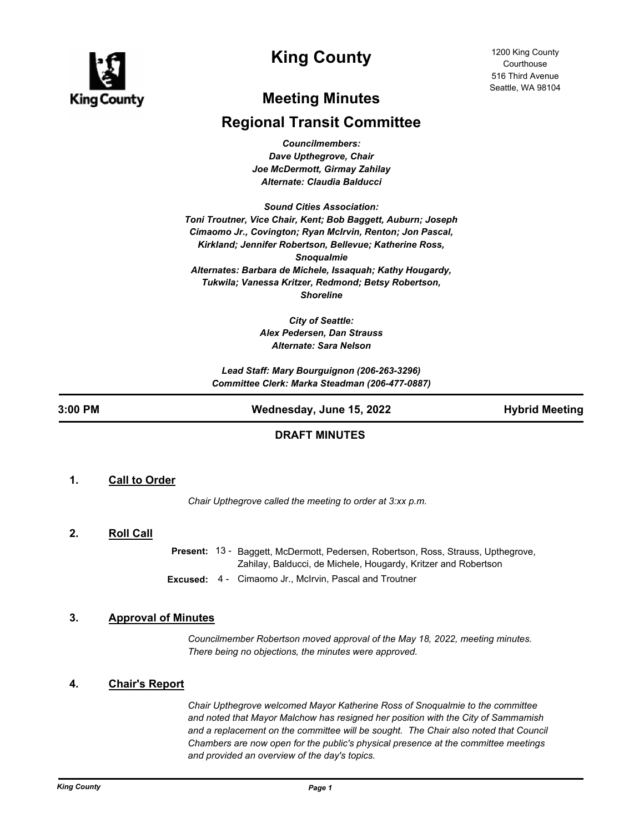

# **King County**

# **Meeting Minutes**

## **Regional Transit Committee**

*Councilmembers: Dave Upthegrove, Chair Joe McDermott, Girmay Zahilay Alternate: Claudia Balducci*

*Sound Cities Association: Toni Troutner, Vice Chair, Kent; Bob Baggett, Auburn; Joseph Cimaomo Jr., Covington; Ryan McIrvin, Renton; Jon Pascal, Kirkland; Jennifer Robertson, Bellevue; Katherine Ross, Snoqualmie Alternates: Barbara de Michele, Issaquah; Kathy Hougardy, Tukwila; Vanessa Kritzer, Redmond; Betsy Robertson, Shoreline*

> *City of Seattle: Alex Pedersen, Dan Strauss Alternate: Sara Nelson*

*Lead Staff: Mary Bourguignon (206-263-3296) Committee Clerk: Marka Steadman (206-477-0887)*

**3:00 PM Wednesday, June 15, 2022 Hybrid Meeting**

#### **DRAFT MINUTES**

#### **1. Call to Order**

*Chair Upthegrove called the meeting to order at 3:xx p.m.*

#### **2. Roll Call**

Present: 13 - Baggett, McDermott, Pedersen, Robertson, Ross, Strauss, Upthegrove, Zahilay, Balducci, de Michele, Hougardy, Kritzer and Robertson **Excused:** 4 - Cimaomo Jr., McIrvin, Pascal and Troutner

#### **3. Approval of Minutes**

*Councilmember Robertson moved approval of the May 18, 2022, meeting minutes. There being no objections, the minutes were approved.*

#### **4. Chair's Report**

*Chair Upthegrove welcomed Mayor Katherine Ross of Snoqualmie to the committee and noted that Mayor Malchow has resigned her position with the City of Sammamish*  and a replacement on the committee will be sought. The Chair also noted that Council *Chambers are now open for the public's physical presence at the committee meetings and provided an overview of the day's topics.*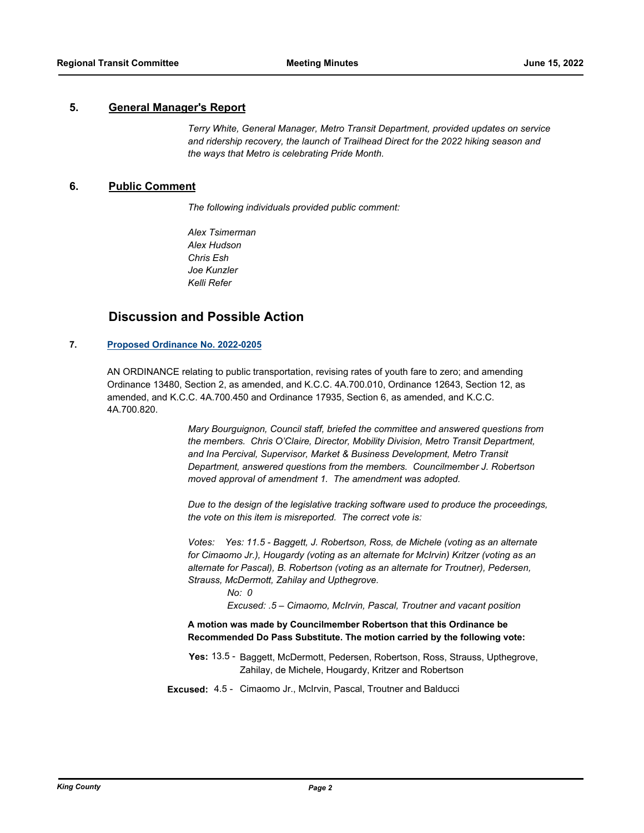#### **5. General Manager's Report**

*Terry White, General Manager, Metro Transit Department, provided updates on service and ridership recovery, the launch of Trailhead Direct for the 2022 hiking season and the ways that Metro is celebrating Pride Month.*

#### **6. Public Comment**

*The following individuals provided public comment:*

*Alex Tsimerman Alex Hudson Chris Esh Joe Kunzler Kelli Refer*

### **Discussion and Possible Action**

#### **7. [Proposed Ordinance No. 2022-0205](http://kingcounty.legistar.com/gateway.aspx?m=l&id=/matter.aspx?key=23144)**

AN ORDINANCE relating to public transportation, revising rates of youth fare to zero; and amending Ordinance 13480, Section 2, as amended, and K.C.C. 4A.700.010, Ordinance 12643, Section 12, as amended, and K.C.C. 4A.700.450 and Ordinance 17935, Section 6, as amended, and K.C.C. 4A.700.820.

> *Mary Bourguignon, Council staff, briefed the committee and answered questions from the members. Chris O'Claire, Director, Mobility Division, Metro Transit Department, and Ina Percival, Supervisor, Market & Business Development, Metro Transit Department, answered questions from the members. Councilmember J. Robertson moved approval of amendment 1. The amendment was adopted.*

> *Due to the design of the legislative tracking software used to produce the proceedings, the vote on this item is misreported. The correct vote is:*

*Votes: Yes: 11.5 - Baggett, J. Robertson, Ross, de Michele (voting as an alternate for Cimaomo Jr.), Hougardy (voting as an alternate for McIrvin) Kritzer (voting as an alternate for Pascal), B. Robertson (voting as an alternate for Troutner), Pedersen, Strauss, McDermott, Zahilay and Upthegrove.*

 *No: 0*

 *Excused: .5 – Cimaomo, McIrvin, Pascal, Troutner and vacant position*

**A motion was made by Councilmember Robertson that this Ordinance be Recommended Do Pass Substitute. The motion carried by the following vote:**

Yes: 13.5 - Baggett, McDermott, Pedersen, Robertson, Ross, Strauss, Upthegrove, Zahilay, de Michele, Hougardy, Kritzer and Robertson

**Excused:** 4.5 - Cimaomo Jr., McIrvin, Pascal, Troutner and Balducci